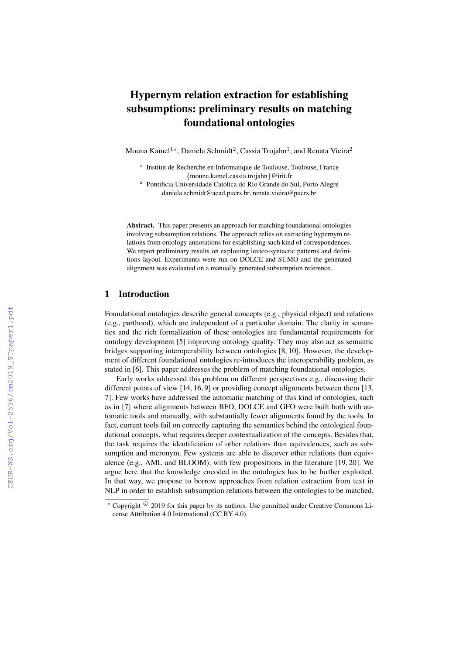# Hypernym relation extraction for establishing subsumptions: preliminary results on matching foundational ontologies

Mouna Kamel $^{1\star}$ , Daniela Schmidt $^2$ , Cassia Trojahn $^1$ , and Renata Vieira $^2$ 

- <sup>1</sup> Institut de Recherche en Informatique de Toulouse, Toulouse, France {mouna.kamel,cassia.trojahn}@irit.fr
- <sup>2</sup> Pontificia Universidade Catolica do Rio Grande do Sul, Porto Alegre daniela.schmidt@acad.pucrs.br, renata.vieira@pucrs.br

Abstract. This paper presents an approach for matching foundational ontologies involving subsumption relations. The approach relies on extracting hypernym relations from ontology annotations for establishing such kind of correspondences. We report preliminary results on exploiting lexico-syntactic patterns and definitions layout. Experiments were run on DOLCE and SUMO and the generated alignment was evaluated on a manually generated subsumption reference.

# 1 Introduction

Foundational ontologies describe general concepts (e.g., physical object) and relations (e.g., parthood), which are independent of a particular domain. The clarity in semantics and the rich formalization of these ontologies are fundamental requirements for ontology development [5] improving ontology quality. They may also act as semantic bridges supporting interoperability between ontologies [8, 10]. However, the development of different foundational ontologies re-introduces the interoperability problem, as stated in [6]. This paper addresses the problem of matching foundational ontologies.

Early works addressed this problem on different perspectives e.g., discussing their different points of view [14, 16, 9] or providing concept alignments between them [13, 7]. Few works have addressed the automatic matching of this kind of ontologies, such as in [7] where alignments between BFO, DOLCE and GFO were built both with automatic tools and manually, with substantially fewer alignments found by the tools. In fact, current tools fail on correctly capturing the semantics behind the ontological foundational concepts, what requires deeper contextualization of the concepts. Besides that, the task requires the identification of other relations than equivalences, such as subsumption and meronym. Few systems are able to discover other relations than equivalence (e.g., AML and BLOOM), with few propositions in the literature [19, 20]. We argue here that the knowledge encoded in the ontologies has to be further exploited. In that way, we propose to borrow approaches from relation extraction from text in NLP in order to establish subsumption relations between the ontologies to be matched.

 $\star$  Copyright  $\degree$  2019 for this paper by its authors. Use permitted under Creative Commons License Attribution 4.0 International (CC BY 4.0).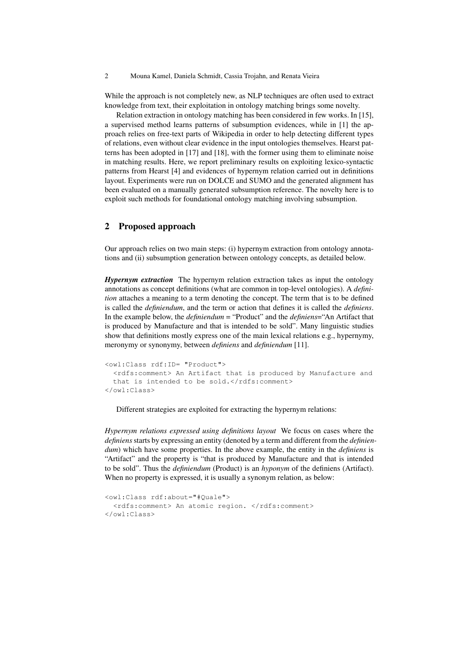2 Mouna Kamel, Daniela Schmidt, Cassia Trojahn, and Renata Vieira

While the approach is not completely new, as NLP techniques are often used to extract knowledge from text, their exploitation in ontology matching brings some novelty.

Relation extraction in ontology matching has been considered in few works. In [15], a supervised method learns patterns of subsumption evidences, while in [1] the approach relies on free-text parts of Wikipedia in order to help detecting different types of relations, even without clear evidence in the input ontologies themselves. Hearst patterns has been adopted in [17] and [18], with the former using them to eliminate noise in matching results. Here, we report preliminary results on exploiting lexico-syntactic patterns from Hearst [4] and evidences of hypernym relation carried out in definitions layout. Experiments were run on DOLCE and SUMO and the generated alignment has been evaluated on a manually generated subsumption reference. The novelty here is to exploit such methods for foundational ontology matching involving subsumption.

#### 2 Proposed approach

Our approach relies on two main steps: (i) hypernym extraction from ontology annotations and (ii) subsumption generation between ontology concepts, as detailed below.

*Hypernym extraction* The hypernym relation extraction takes as input the ontology annotations as concept definitions (what are common in top-level ontologies). A *definition* attaches a meaning to a term denoting the concept. The term that is to be defined is called the *definiendum*, and the term or action that defines it is called the *definiens*. In the example below, the *definiendum* = "Product" and the *definiens*="An Artifact that is produced by Manufacture and that is intended to be sold". Many linguistic studies show that definitions mostly express one of the main lexical relations e.g., hypernymy, meronymy or synonymy, between *definiens* and *definiendum* [11].

```
<owl:Class rdf:ID= "Product">
 <rdfs:comment> An Artifact that is produced by Manufacture and
 that is intended to be sold.</rdfs:comment>
</owl:Class>
```
Different strategies are exploited for extracting the hypernym relations:

*Hypernym relations expressed using definitions layout* We focus on cases where the *definiens*starts by expressing an entity (denoted by a term and different from the *definiendum*) which have some properties. In the above example, the entity in the *definiens* is "Artifact" and the property is "that is produced by Manufacture and that is intended to be sold". Thus the *definiendum* (Product) is an *hyponym* of the definiens (Artifact). When no property is expressed, it is usually a synonym relation, as below:

```
<owl:Class rdf:about="#Quale">
 <rdfs:comment> An atomic region. </rdfs:comment>
</owl:Class>
```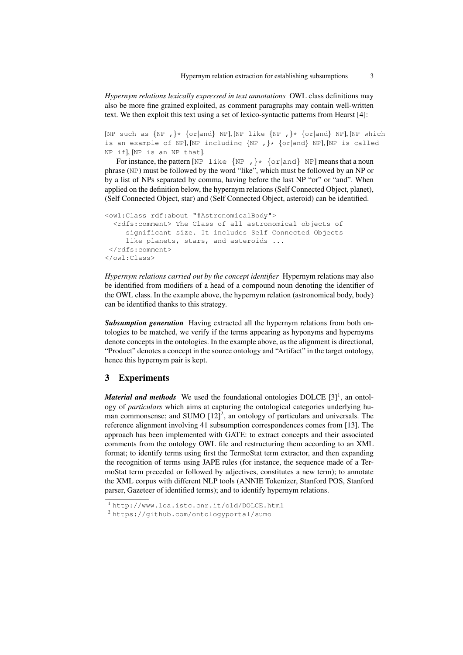*Hypernym relations lexically expressed in text annotations* OWL class definitions may also be more fine grained exploited, as comment paragraphs may contain well-written text. We then exploit this text using a set of lexico-syntactic patterns from Hearst [4]:

```
[NP such as \{NP, \}* \{or|and\} NP], [NP\text{ like } \{NP, \}* \{or|and\} NP], [NP\text{ which }is an example of NP], [NP including {NP,} \} \{or|and\} NP], [NP is called
NP if], [NP is an NP that].
```
For instance, the pattern [NP like  $\{NP, \}$ \*  $\{or| and\}$  NP] means that a noun phrase (NP) must be followed by the word "like", which must be followed by an NP or by a list of NPs separated by comma, having before the last NP "or" or "and". When applied on the definition below, the hypernym relations (Self Connected Object, planet), (Self Connected Object, star) and (Self Connected Object, asteroid) can be identified.

```
<owl:Class rdf:about="#AstronomicalBody">
 <rdfs:comment> The Class of all astronomical objects of
    significant size. It includes Self Connected Objects
    like planets, stars, and asteroids ...
</rdfs:comment>
</owl:Class>
```
*Hypernym relations carried out by the concept identifier* Hypernym relations may also be identified from modifiers of a head of a compound noun denoting the identifier of the OWL class. In the example above, the hypernym relation (astronomical body, body) can be identified thanks to this strategy.

*Subsumption generation* Having extracted all the hypernym relations from both ontologies to be matched, we verify if the terms appearing as hyponyms and hypernyms denote concepts in the ontologies. In the example above, as the alignment is directional, "Product" denotes a concept in the source ontology and "Artifact" in the target ontology, hence this hypernym pair is kept.

# 3 Experiments

*Material and methods* We used the foundational ontologies DOLCE [3]<sup>1</sup>, an ontology of *particulars* which aims at capturing the ontological categories underlying human commonsense; and SUMO  $[12]^2$ , an ontology of particulars and universals. The reference alignment involving 41 subsumption correspondences comes from [13]. The approach has been implemented with GATE: to extract concepts and their associated comments from the ontology OWL file and restructuring them according to an XML format; to identify terms using first the TermoStat term extractor, and then expanding the recognition of terms using JAPE rules (for instance, the sequence made of a TermoStat term preceded or followed by adjectives, constitutes a new term); to annotate the XML corpus with different NLP tools (ANNIE Tokenizer, Stanford POS, Stanford parser, Gazeteer of identified terms); and to identify hypernym relations.

<sup>1</sup> http://www.loa.istc.cnr.it/old/DOLCE.html

<sup>2</sup> https://github.com/ontologyportal/sumo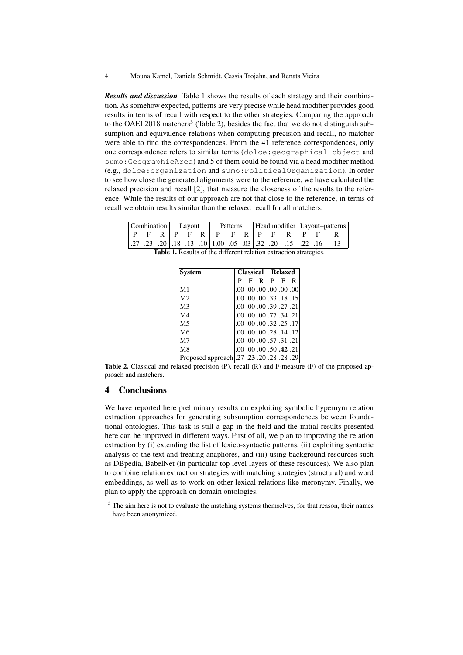4 Mouna Kamel, Daniela Schmidt, Cassia Trojahn, and Renata Vieira

*Results and discussion* Table 1 shows the results of each strategy and their combination. As somehow expected, patterns are very precise while head modifier provides good results in terms of recall with respect to the other strategies. Comparing the approach to the OAEI 2018 matchers<sup>3</sup> (Table 2), besides the fact that we do not distinguish subsumption and equivalence relations when computing precision and recall, no matcher were able to find the correspondences. From the 41 reference correspondences, only one correspondence refers to similar terms (dolce:geographical-object and sumo:GeographicArea) and 5 of them could be found via a head modifier method (e.g., dolce:organization and sumo:PoliticalOrganization). In order to see how close the generated alignments were to the reference, we have calculated the relaxed precision and recall [2], that measure the closeness of the results to the reference. While the results of our approach are not that close to the reference, in terms of recall we obtain results similar than the relaxed recall for all matchers.

| Combination Lavout |  |  |  |  | Patterns |                                                          |  |  |  |  | Head modifier   Layout+patterns |  |  |  |
|--------------------|--|--|--|--|----------|----------------------------------------------------------|--|--|--|--|---------------------------------|--|--|--|
| $\mathbf{p}$       |  |  |  |  |          | $F$ R $P$ F R $P$ F R $P$ F R $P$                        |  |  |  |  |                                 |  |  |  |
|                    |  |  |  |  |          | .27 .28 .18 .13 .10 1,00 .05 .03 .32 .20 .15 .22 .16 .13 |  |  |  |  |                                 |  |  |  |

Table 1. Results of the different relation extraction strategies.

| <b>System</b>                               |   |   | Classical   Relaxed |                                  |                              |
|---------------------------------------------|---|---|---------------------|----------------------------------|------------------------------|
|                                             | P | F | $R$   $P$   $F$     |                                  | R                            |
| M1                                          |   |   |                     |                                  | [00, 00, 00, 00, 00, 00, 00] |
| M <sub>2</sub>                              |   |   |                     |                                  | $.00.00.00$ .33.18.15        |
| M <sub>3</sub>                              |   |   |                     | .00 .00 .00 .39 .27 .21          |                              |
| M4                                          |   |   |                     | .00 .00 .00 .77 .34 .21          |                              |
| M <sub>5</sub>                              |   |   |                     |                                  | .00 .00 .00 .32 .25 .17      |
| M6                                          |   |   |                     |                                  | $.00.00.00$ .28.14.12        |
| M7                                          |   |   |                     | .00 .00 .00 .57 .31 .21          |                              |
| M8                                          |   |   |                     | $.00 \, .00 \, .00$ .00.50.42.21 |                              |
| [29. 28. 28. 20. 20. 23. Proposed approach] |   |   |                     |                                  |                              |

Table 2. Classical and relaxed precision (P), recall (R) and F-measure (F) of the proposed approach and matchers.

### 4 Conclusions

We have reported here preliminary results on exploiting symbolic hypernym relation extraction approaches for generating subsumption correspondences between foundational ontologies. This task is still a gap in the field and the initial results presented here can be improved in different ways. First of all, we plan to improving the relation extraction by (i) extending the list of lexico-syntactic patterns, (ii) exploiting syntactic analysis of the text and treating anaphores, and (iii) using background resources such as DBpedia, BabelNet (in particular top level layers of these resources). We also plan to combine relation extraction strategies with matching strategies (structural) and word embeddings, as well as to work on other lexical relations like meronymy. Finally, we plan to apply the approach on domain ontologies.

<sup>&</sup>lt;sup>3</sup> The aim here is not to evaluate the matching systems themselves, for that reason, their names have been anonymized.